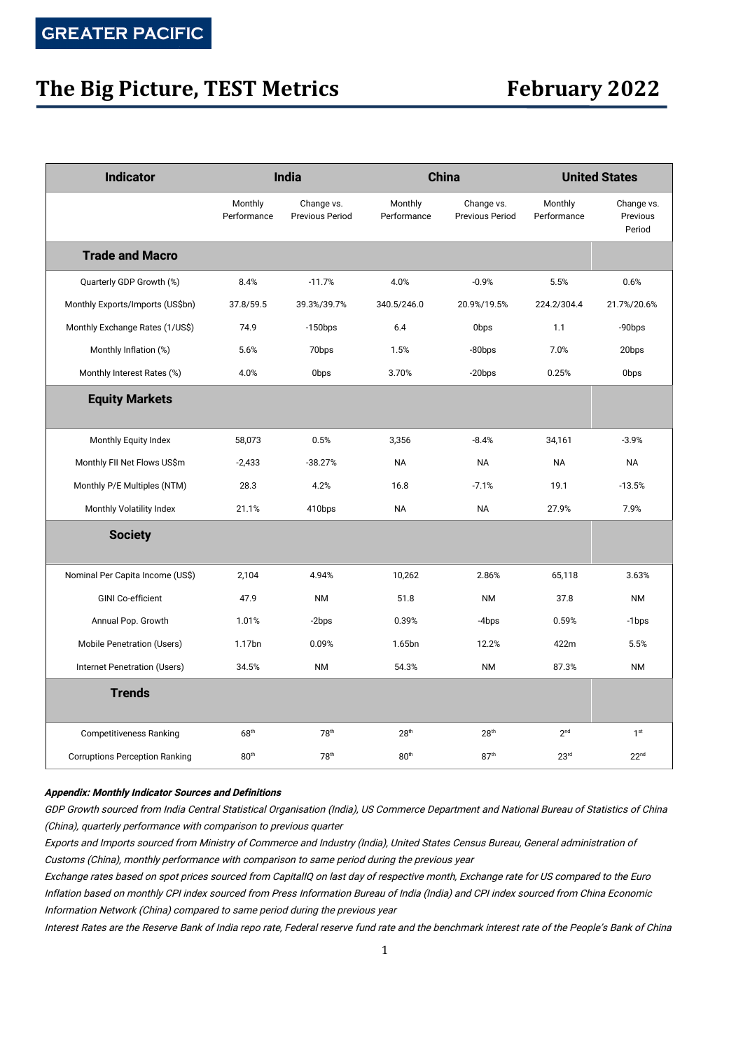## **The Big Picture, TEST Metrics February 2022**

| <b>Indicator</b>                      | India                  |                               | <b>China</b>           |                                      | <b>United States</b>   |                                  |
|---------------------------------------|------------------------|-------------------------------|------------------------|--------------------------------------|------------------------|----------------------------------|
|                                       | Monthly<br>Performance | Change vs.<br>Previous Period | Monthly<br>Performance | Change vs.<br><b>Previous Period</b> | Monthly<br>Performance | Change vs.<br>Previous<br>Period |
| <b>Trade and Macro</b>                |                        |                               |                        |                                      |                        |                                  |
| Quarterly GDP Growth (%)              | 8.4%                   | $-11.7%$                      | 4.0%                   | $-0.9%$                              | 5.5%                   | 0.6%                             |
| Monthly Exports/Imports (US\$bn)      | 37.8/59.5              | 39.3%/39.7%                   | 340.5/246.0            | 20.9%/19.5%                          | 224.2/304.4            | 21.7%/20.6%                      |
| Monthly Exchange Rates (1/US\$)       | 74.9                   | $-150$ bps                    | 6.4                    | 0 <sub>bps</sub>                     | 1.1                    | -90bps                           |
| Monthly Inflation (%)                 | 5.6%                   | 70bps                         | 1.5%                   | $-80$ bps                            | 7.0%                   | 20bps                            |
| Monthly Interest Rates (%)            | 4.0%                   | 0bps                          | 3.70%                  | $-20$ bps                            | 0.25%                  | 0bps                             |
| <b>Equity Markets</b>                 |                        |                               |                        |                                      |                        |                                  |
| Monthly Equity Index                  | 58,073                 | 0.5%                          | 3,356                  | $-8.4%$                              | 34,161                 | $-3.9%$                          |
| Monthly FII Net Flows US\$m           | $-2,433$               | $-38.27%$                     | <b>NA</b>              | <b>NA</b>                            | <b>NA</b>              | <b>NA</b>                        |
| Monthly P/E Multiples (NTM)           | 28.3                   | 4.2%                          | 16.8                   | $-7.1%$                              | 19.1                   | $-13.5%$                         |
| Monthly Volatility Index              | 21.1%                  | 410bps                        | <b>NA</b>              | <b>NA</b>                            | 27.9%                  | 7.9%                             |
| <b>Society</b>                        |                        |                               |                        |                                      |                        |                                  |
| Nominal Per Capita Income (US\$)      | 2,104                  | 4.94%                         | 10,262                 | 2.86%                                | 65,118                 | 3.63%                            |
| <b>GINI Co-efficient</b>              | 47.9                   | <b>NM</b>                     | 51.8                   | <b>NM</b>                            | 37.8                   | <b>NM</b>                        |
| Annual Pop. Growth                    | 1.01%                  | -2bps                         | 0.39%                  | -4bps                                | 0.59%                  | -1bps                            |
| Mobile Penetration (Users)            | 1.17bn                 | 0.09%                         | 1.65bn                 | 12.2%                                | 422m                   | 5.5%                             |
| Internet Penetration (Users)          | 34.5%                  | <b>NM</b>                     | 54.3%                  | <b>NM</b>                            | 87.3%                  | <b>NM</b>                        |
| <b>Trends</b>                         |                        |                               |                        |                                      |                        |                                  |
| <b>Competitiveness Ranking</b>        | 68 <sup>th</sup>       | 78 <sup>th</sup>              | 28 <sup>th</sup>       | 28 <sup>th</sup>                     | 2 <sup>nd</sup>        | 1 <sup>st</sup>                  |
| <b>Corruptions Perception Ranking</b> | 80 <sup>th</sup>       | 78 <sup>th</sup>              | 80 <sup>th</sup>       | 87 <sup>th</sup>                     | 23 <sup>rd</sup>       | 22 <sup>nd</sup>                 |

### **Appendix: Monthly Indicator Sources and Definitions**

GDP Growth sourced from India Central Statistical Organisation (India), US Commerce Department and National Bureau of Statistics of China (China), quarterly performance with comparison to previous quarter

Exports and Imports sourced from Ministry of Commerce and Industry (India), United States Census Bureau, General administration of Customs (China), monthly performance with comparison to same period during the previous year

Exchange rates based on spot prices sourced from CapitalIQ on last day of respective month, Exchange rate for US compared to the Euro Inflation based on monthly CPI index sourced from Press Information Bureau of India (India) and CPI index sourced from China Economic Information Network (China) compared to same period during the previous year

Interest Rates are the Reserve Bank of India repo rate, Federal reserve fund rate and the benchmark interest rate of the People's Bank of China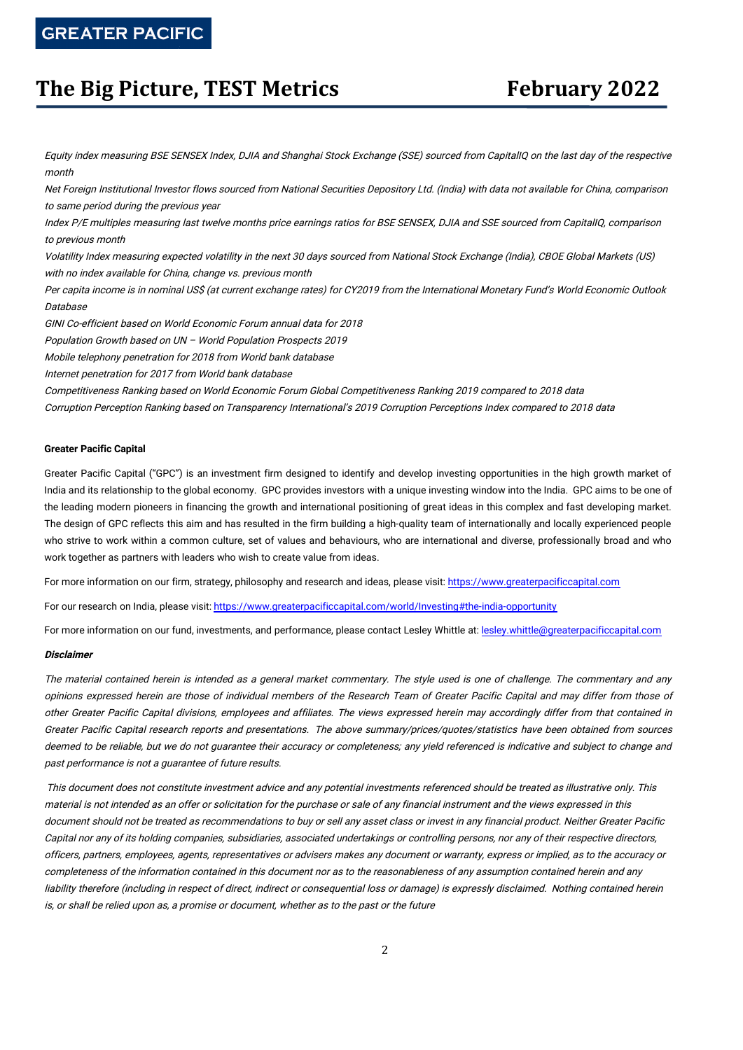### **The Big Picture, TEST Metrics February 2022**

Equity index measuring BSE SENSEX Index, DJIA and Shanghai Stock Exchange (SSE) sourced from CapitalIQ on the last day of the respective month

Net Foreign Institutional Investor flows sourced from National Securities Depository Ltd. (India) with data not available for China, comparison to same period during the previous year

Index P/E multiples measuring last twelve months price earnings ratios for BSE SENSEX, DJIA and SSE sourced from CapitalIQ, comparison to previous month

Volatility Index measuring expected volatility in the next 30 days sourced from National Stock Exchange (India), CBOE Global Markets (US) with no index available for China, change vs. previous month

Per capita income is in nominal US\$ (at current exchange rates) for CY2019 from the International Monetary Fund's World Economic Outlook Database

GINI Co-efficient based on World Economic Forum annual data for 2018

Population Growth based on UN – World Population Prospects 2019

Mobile telephony penetration for 2018 from World bank database

Internet penetration for 2017 from World bank database

Competitiveness Ranking based on World Economic Forum Global Competitiveness Ranking 2019 compared to 2018 data

Corruption Perception Ranking based on Transparency International's 2019 Corruption Perceptions Index compared to 2018 data

### **Greater Pacific Capital**

Greater Pacific Capital ("GPC") is an investment firm designed to identify and develop investing opportunities in the high growth market of India and its relationship to the global economy. GPC provides investors with a unique investing window into the India. GPC aims to be one of the leading modern pioneers in financing the growth and international positioning of great ideas in this complex and fast developing market. The design of GPC reflects this aim and has resulted in the firm building a high-quality team of internationally and locally experienced people who strive to work within a common culture, set of values and behaviours, who are international and diverse, professionally broad and who work together as partners with leaders who wish to create value from ideas.

For more information on our firm, strategy, philosophy and research and ideas, please visit: [https://www.greaterpacificcapital.com](https://www.greaterpacificcapital.com/)

For our research on India, please visit: <https://www.greaterpacificcapital.com/world/Investing#the-india-opportunity>

For more information on our fund, investments, and performance, please contact Lesley Whittle at: [lesley.whittle@greaterpacificcapital.com](mailto:lesley.whittle@greaterpacificcapital.com)

#### **Disclaimer**

The material contained herein is intended as <sup>a</sup> general market commentary. The style used is one of challenge. The commentary and any opinions expressed herein are those of individual members of the Research Team of Greater Pacific Capital and may differ from those of other Greater Pacific Capital divisions, employees and affiliates. The views expressed herein may accordingly differ from that contained in Greater Pacific Capital research reports and presentations. The above summary/prices/quotes/statistics have been obtained from sources deemed to be reliable, but we do not guarantee their accuracy or completeness; any yield referenced is indicative and subject to change and past performance is not <sup>a</sup> guarantee of future results.

This document does not constitute investment advice and any potential investments referenced should be treated as illustrative only. This material is not intended as an offer or solicitation for the purchase or sale of any financial instrument and the views expressed in this document should not be treated as recommendations to buy or sell any asset class or invest in any financial product. Neither Greater Pacific Capital nor any of its holding companies, subsidiaries, associated undertakings or controlling persons, nor any of their respective directors, officers, partners, employees, agents, representatives or advisers makes any document or warranty, express or implied, as to the accuracy or completeness of the information contained in this document nor as to the reasonableness of any assumption contained herein and any liability therefore (including in respect of direct, indirect or consequential loss or damage) is expressly disclaimed. Nothing contained herein is, or shall be relied upon as, <sup>a</sup> promise or document, whether as to the past or the future